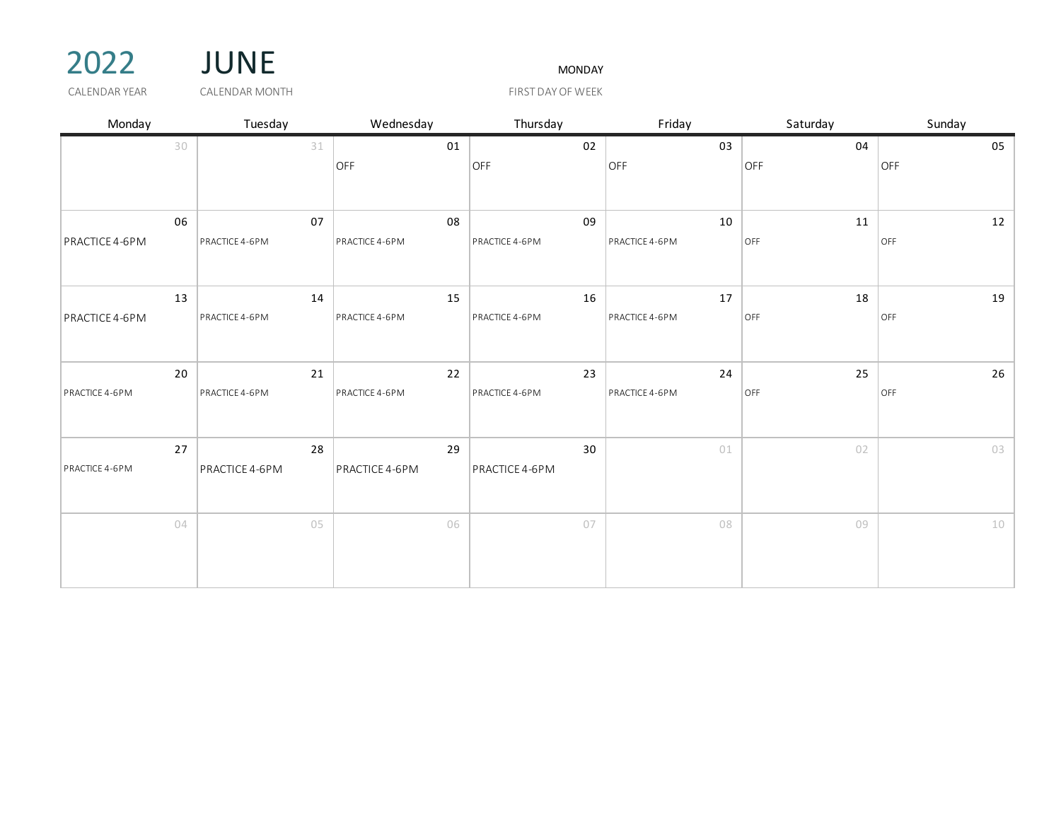



CALENDAR YEAR GALENDAR MONTH THE SERVICE OF THE STATE OF WEEK

| Monday         |    | Tuesday              | Wednesday            | Thursday             | Friday               | Saturday  | Sunday    |
|----------------|----|----------------------|----------------------|----------------------|----------------------|-----------|-----------|
|                | 30 | 31                   | 01                   | 02                   | 03                   | 04        | 05        |
|                |    |                      | OFF                  | OFF                  | OFF                  | OFF       | OFF       |
|                |    |                      |                      |                      |                      |           |           |
|                |    |                      |                      |                      |                      |           |           |
| PRACTICE 4-6PM | 06 | 07<br>PRACTICE 4-6PM | 08<br>PRACTICE 4-6PM | 09<br>PRACTICE 4-6PM | 10<br>PRACTICE 4-6PM | 11<br>OFF | 12<br>OFF |
|                |    |                      |                      |                      |                      |           |           |
|                |    |                      |                      |                      |                      |           |           |
|                | 13 | 14                   | 15                   | 16                   | 17                   | 18        | 19        |
| PRACTICE 4-6PM |    | PRACTICE 4-6PM       | PRACTICE 4-6PM       | PRACTICE 4-6PM       | PRACTICE 4-6PM       | OFF       | OFF       |
|                |    |                      |                      |                      |                      |           |           |
|                | 20 | 21                   | 22                   | 23                   | 24                   | 25        | 26        |
| PRACTICE 4-6PM |    | PRACTICE 4-6PM       | PRACTICE 4-6PM       | PRACTICE 4-6PM       | PRACTICE 4-6PM       | OFF       | OFF       |
|                |    |                      |                      |                      |                      |           |           |
|                |    |                      |                      |                      |                      |           |           |
|                | 27 | 28                   | 29                   | 30                   | 01                   | 02        | 03        |
| PRACTICE 4-6PM |    | PRACTICE 4-6PM       | PRACTICE 4-6PM       | PRACTICE 4-6PM       |                      |           |           |
|                |    |                      |                      |                      |                      |           |           |
|                | 04 | 05                   | 06                   | 07                   | 08                   | 09        | $10\,$    |
|                |    |                      |                      |                      |                      |           |           |
|                |    |                      |                      |                      |                      |           |           |
|                |    |                      |                      |                      |                      |           |           |